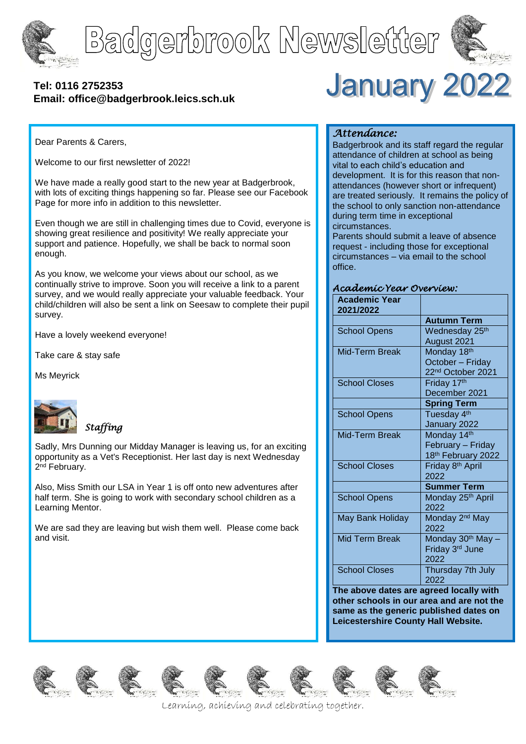

# Badgerbrook Newsletter



# **[Tel: 0116](tel:0116) 2752353 Email: office@badgerbrook.leics.sch.uk**

**January 2022** 

Dear Parents & Carers,

Welcome to our first newsletter of 2022!

We have made a really good start to the new year at Badgerbrook, with lots of exciting things happening so far. Please see our Facebook Page for more info in addition to this newsletter.

Even though we are still in challenging times due to Covid, everyone is showing great resilience and positivity! We really appreciate your support and patience. Hopefully, we shall be back to normal soon enough.

As you know, we welcome your views about our school, as we continually strive to improve. Soon you will receive a link to a parent survey, and we would really appreciate your valuable feedback. Your child/children will also be sent a link on Seesaw to complete their pupil survey.

Have a lovely weekend everyone!

Take care & stay safe

Ms Meyrick



# *Staffing*

Sadly, Mrs Dunning our Midday Manager is leaving us, for an exciting opportunity as a Vet's Receptionist. Her last day is next Wednesday 2<sup>nd</sup> February.

Also, Miss Smith our LSA in Year 1 is off onto new adventures after half term. She is going to work with secondary school children as a Learning Mentor.

We are sad they are leaving but wish them well. Please come back and visit.

# *Attendance:*

Badgerbrook and its staff regard the regular attendance of children at school as being vital to each child's education and development. It is for this reason that nonattendances (however short or infrequent) are treated seriously. It remains the policy of the school to only sanction non-attendance during term time in exceptional circumstances.

Parents should submit a leave of absence request - including those for exceptional circumstances – via email to the school office.

#### *Academic Year Overview:*

| <b>Academic Year</b><br>2021/2022 |                                |
|-----------------------------------|--------------------------------|
|                                   | <b>Autumn Term</b>             |
| <b>School Opens</b>               | Wednesday 25 <sup>th</sup>     |
|                                   | August 2021                    |
| Mid-Term Break                    | Monday 18th                    |
|                                   | October - Friday               |
|                                   | 22 <sup>nd</sup> October 2021  |
| <b>School Closes</b>              | Friday 17th                    |
|                                   | December 2021                  |
|                                   | <b>Spring Term</b>             |
| <b>School Opens</b>               | Tuesday 4 <sup>th</sup>        |
|                                   | January 2022                   |
| Mid-Term Break                    | Monday 14th                    |
|                                   | February - Friday              |
|                                   | 18 <sup>th</sup> February 2022 |
| <b>School Closes</b>              | Friday 8 <sup>th</sup> April   |
|                                   | 2022                           |
|                                   | <b>Summer Term</b>             |
| <b>School Opens</b>               | Monday 25th April              |
|                                   | 2022                           |
| May Bank Holiday                  | Monday 2 <sup>nd</sup> May     |
|                                   | 2022                           |
| <b>Mid Term Break</b>             | Monday 30 <sup>th</sup> May -  |
|                                   | Friday 3rd June                |
|                                   | 2022                           |
| <b>School Closes</b>              | Thursday 7th July              |
|                                   | 2022                           |

**The above dates are agreed locally with other schools in our area and are not the same as the generic published dates on Leicestershire County Hall Website.**















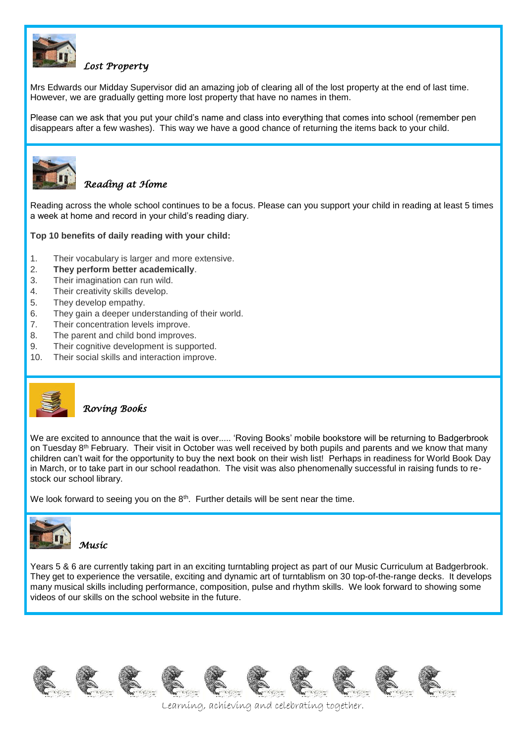

# *Lost Property*

Mrs Edwards our Midday Supervisor did an amazing job of clearing all of the lost property at the end of last time. However, we are gradually getting more lost property that have no names in them.

Please can we ask that you put your child's name and class into everything that comes into school (remember pen disappears after a few washes). This way we have a good chance of returning the items back to your child.



### *Reading at Home*

Reading across the whole school continues to be a focus. Please can you support your child in reading at least 5 times a week at home and record in your child's reading diary.

#### **Top 10 benefits of daily reading with your child:**

- 1. Their vocabulary is larger and more extensive.
- 2. **They perform better academically**.
- 3. Their imagination can run wild.
- 4. Their creativity skills develop.
- 5. They develop empathy.
- 6. They gain a deeper understanding of their world.
- 7. Their concentration levels improve.
- 8. The parent and child bond improves.
- 9. Their cognitive development is supported.
- 10. Their social skills and interaction improve.



#### *Roving Books*

We are excited to announce that the wait is over..... 'Roving Books' mobile bookstore will be returning to Badgerbrook on Tuesday 8th February. Their visit in October was well received by both pupils and parents and we know that many children can't wait for the opportunity to buy the next book on their wish list! Perhaps in readiness for World Book Day in March, or to take part in our school readathon. The visit was also phenomenally successful in raising funds to restock our school library.

We look forward to seeing you on the 8<sup>th</sup>. Further details will be sent near the time.



*Music* 

Years 5 & 6 are currently taking part in an exciting turntabling project as part of our Music Curriculum at Badgerbrook. They get to experience the versatile, exciting and dynamic art of turntablism on 30 top-of-the-range decks. It develops many musical skills including performance, composition, pulse and rhythm skills. We look forward to showing some videos of our skills on the school website in the future.













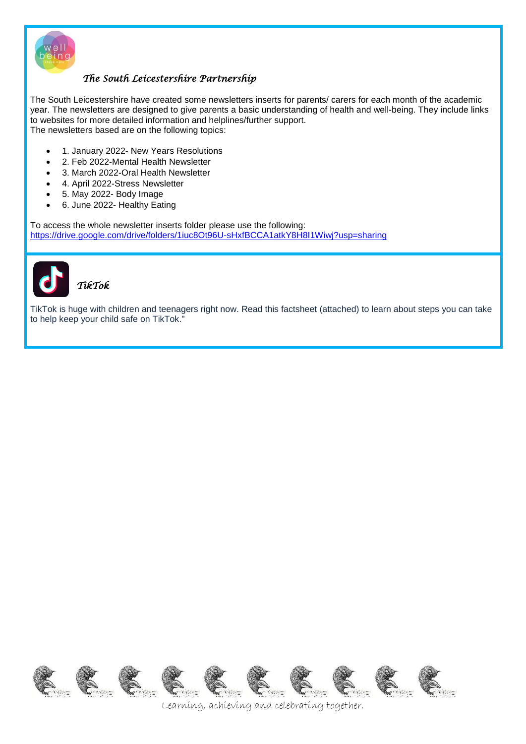

# *The South Leicestershire Partnership*

The South Leicestershire have created some newsletters inserts for parents/ carers for each month of the academic year. The newsletters are designed to give parents a basic understanding of health and well-being. They include links to websites for more detailed information and helplines/further support. The newsletters based are on the following topics:

- 1. January 2022- New Years Resolutions
- 2. Feb 2022-Mental Health Newsletter
- 3. March 2022-Oral Health Newsletter
- 4. April 2022-Stress Newsletter
- 5. May 2022- Body Image
- 6. June 2022- Healthy Eating

To access the whole newsletter inserts folder please use the following: <https://drive.google.com/drive/folders/1iuc8Ot96U-sHxfBCCA1atkY8H8I1Wiwj?usp=sharing>



TikTok is huge with children and teenagers right now. Read this factsheet (attached) to learn about steps you can take to help keep your child safe on TikTok."

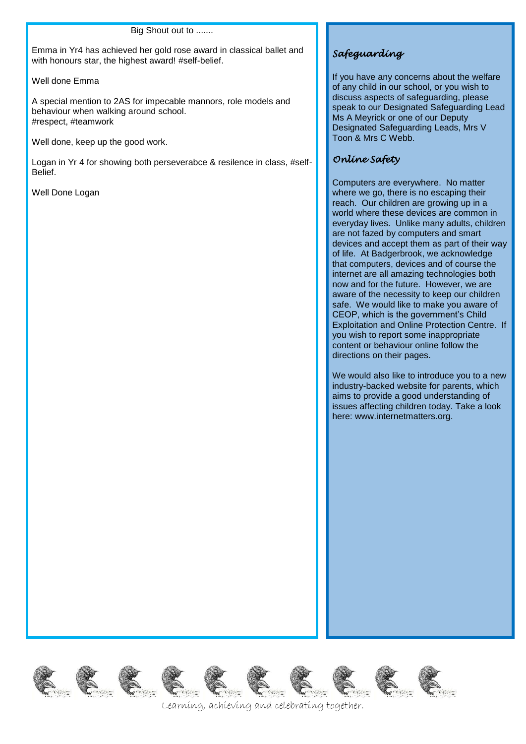#### Big Shout out to .......

Emma in Yr4 has achieved her gold rose award in classical ballet and with honours star, the highest award! #self-belief.

Well done Emma

A special mention to 2AS for impecable mannors, role models and behaviour when walking around school. #respect, #teamwork

Well done, keep up the good work.

EKKK

Logan in Yr 4 for showing both perseverabce & resilence in class, #self-Belief.

Well Done Logan

# *Safeguarding*

If you have any concerns about the welfare of any child in our school, or you wish to discuss aspects of safeguarding, please speak to our Designated Safeguarding Lead Ms A Meyrick or one of our Deputy Designated Safeguarding Leads, Mrs V Toon & Mrs C Webb.

# *Online Safety*

Computers are everywhere. No matter where we go, there is no escaping their reach. Our children are growing up in a world where these devices are common in everyday lives. Unlike many adults, children are not fazed by computers and smart devices and accept them as part of their way of life. At Badgerbrook, we acknowledge that computers, devices and of course the internet are all amazing technologies both now and for the future. However, we are aware of the necessity to keep our children safe. We would like to make you aware of CEOP, which is the government's Child Exploitation and Online Protection Centre. If you wish to report some inappropriate content or behaviour online follow the directions on their pages.

We would also like to introduce you to a new industry-backed website for parents, which aims to provide a good understanding of issues affecting children today. Take a look here: www.internetmatters.org.

RE CE